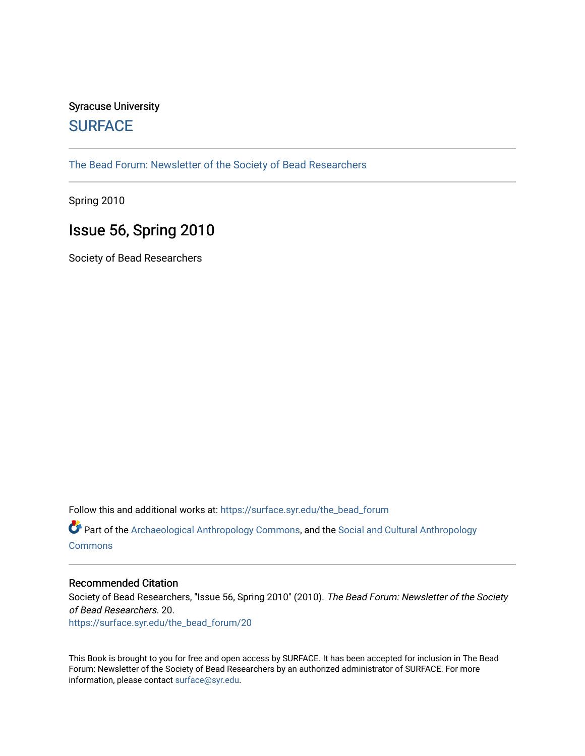# Syracuse University **[SURFACE](https://surface.syr.edu/)**

[The Bead Forum: Newsletter of the Society of Bead Researchers](https://surface.syr.edu/the_bead_forum)

Spring 2010

# Issue 56, Spring 2010

Society of Bead Researchers

Follow this and additional works at: [https://surface.syr.edu/the\\_bead\\_forum](https://surface.syr.edu/the_bead_forum?utm_source=surface.syr.edu%2Fthe_bead_forum%2F20&utm_medium=PDF&utm_campaign=PDFCoverPages)

Part of the [Archaeological Anthropology Commons](http://network.bepress.com/hgg/discipline/319?utm_source=surface.syr.edu%2Fthe_bead_forum%2F20&utm_medium=PDF&utm_campaign=PDFCoverPages), and the [Social and Cultural Anthropology](http://network.bepress.com/hgg/discipline/323?utm_source=surface.syr.edu%2Fthe_bead_forum%2F20&utm_medium=PDF&utm_campaign=PDFCoverPages) **[Commons](http://network.bepress.com/hgg/discipline/323?utm_source=surface.syr.edu%2Fthe_bead_forum%2F20&utm_medium=PDF&utm_campaign=PDFCoverPages)** 

#### Recommended Citation

Society of Bead Researchers, "Issue 56, Spring 2010" (2010). The Bead Forum: Newsletter of the Society of Bead Researchers. 20.

[https://surface.syr.edu/the\\_bead\\_forum/20](https://surface.syr.edu/the_bead_forum/20?utm_source=surface.syr.edu%2Fthe_bead_forum%2F20&utm_medium=PDF&utm_campaign=PDFCoverPages) 

This Book is brought to you for free and open access by SURFACE. It has been accepted for inclusion in The Bead Forum: Newsletter of the Society of Bead Researchers by an authorized administrator of SURFACE. For more information, please contact [surface@syr.edu](mailto:surface@syr.edu).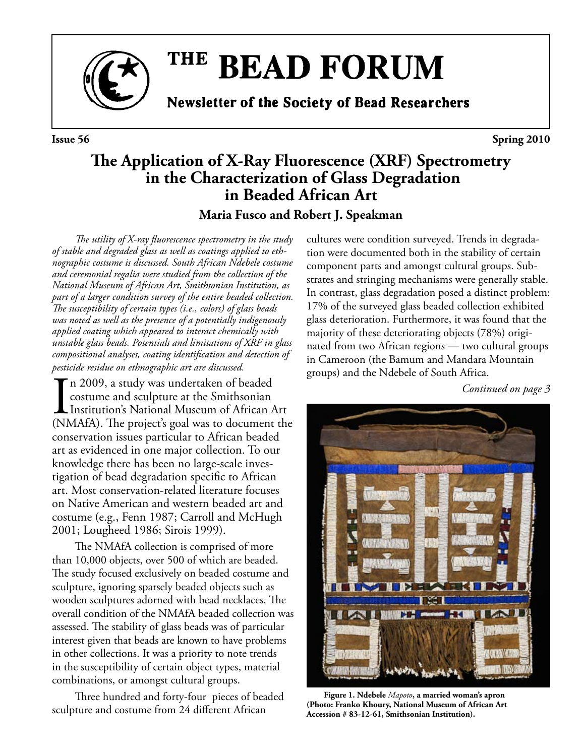

# THE BEAD FORUM

**Newsletter of the Society of Bead Researchers** 

**Issue 56** Spring 2010

# **The Application of X-Ray Fluorescence (XRF) Spectrometry in the Characterization of Glass Degradation in Beaded African Art**

**Maria Fusco and Robert J. Speakman**

*The utility of X-ray fluorescence spectrometry in the study of stable and degraded glass as well as coatings applied to ethnographic costume is discussed. South African Ndebele costume and ceremonial regalia were studied from the collection of the National Museum of African Art, Smithsonian Institution, as part of a larger condition survey of the entire beaded collection. The susceptibility of certain types (i.e., colors) of glass beads was noted as well as the presence of a potentially indigenously applied coating which appeared to interact chemically with unstable glass beads. Potentials and limitations of XRF in glass compositional analyses, coating identification and detection of pesticide residue on ethnographic art are discussed.*

I<sub>(N)</sub> n 2009, a study was undertaken of beaded costume and sculpture at the Smithsonian Institution's National Museum of African Art (NMAfA). The project's goal was to document the conservation issues particular to African beaded art as evidenced in one major collection. To our knowledge there has been no large-scale investigation of bead degradation specific to African art. Most conservation-related literature focuses on Native American and western beaded art and costume (e.g., Fenn 1987; Carroll and McHugh 2001; Lougheed 1986; Sirois 1999).

The NMAfA collection is comprised of more than 10,000 objects, over 500 of which are beaded. The study focused exclusively on beaded costume and sculpture, ignoring sparsely beaded objects such as wooden sculptures adorned with bead necklaces. The overall condition of the NMAfA beaded collection was assessed. The stability of glass beads was of particular interest given that beads are known to have problems in other collections. It was a priority to note trends in the susceptibility of certain object types, material combinations, or amongst cultural groups.

Three hundred and forty-four pieces of beaded sculpture and costume from 24 different African

cultures were condition surveyed. Trends in degradation were documented both in the stability of certain component parts and amongst cultural groups. Substrates and stringing mechanisms were generally stable. In contrast, glass degradation posed a distinct problem: 17% of the surveyed glass beaded collection exhibited glass deterioration. Furthermore, it was found that the majority of these deteriorating objects (78%) originated from two African regions — two cultural groups in Cameroon (the Bamum and Mandara Mountain groups) and the Ndebele of South Africa.

*Continued on page 3*

**IKI** 

**Figure 1. Ndebele** *Mapoto***, a married woman's apron (Photo: Franko Khoury, National Museum of African Art Accession # 83-12-61, Smithsonian Institution).**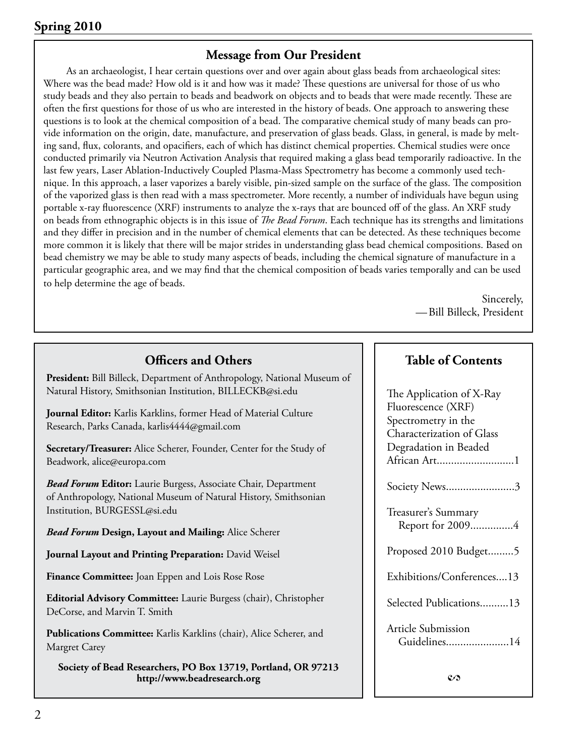# **Message from Our President**

As an archaeologist, I hear certain questions over and over again about glass beads from archaeological sites: Where was the bead made? How old is it and how was it made? These questions are universal for those of us who study beads and they also pertain to beads and beadwork on objects and to beads that were made recently. These are often the first questions for those of us who are interested in the history of beads. One approach to answering these questions is to look at the chemical composition of a bead. The comparative chemical study of many beads can provide information on the origin, date, manufacture, and preservation of glass beads. Glass, in general, is made by melting sand, flux, colorants, and opacifiers, each of which has distinct chemical properties. Chemical studies were once conducted primarily via Neutron Activation Analysis that required making a glass bead temporarily radioactive. In the last few years, Laser Ablation-Inductively Coupled Plasma-Mass Spectrometry has become a commonly used technique. In this approach, a laser vaporizes a barely visible, pin-sized sample on the surface of the glass. The composition of the vaporized glass is then read with a mass spectrometer. More recently, a number of individuals have begun using portable x-ray fluorescence (XRF) instruments to analyze the x-rays that are bounced off of the glass. An XRF study on beads from ethnographic objects is in this issue of *The Bead Forum*. Each technique has its strengths and limitations and they differ in precision and in the number of chemical elements that can be detected. As these techniques become more common it is likely that there will be major strides in understanding glass bead chemical compositions. Based on bead chemistry we may be able to study many aspects of beads, including the chemical signature of manufacture in a particular geographic area, and we may find that the chemical composition of beads varies temporally and can be used to help determine the age of beads.

> Sincerely, —Bill Billeck, President

| <b>Officers and Others</b>                                                                                                                | <b>Table of Contents</b>                                               |
|-------------------------------------------------------------------------------------------------------------------------------------------|------------------------------------------------------------------------|
| President: Bill Billeck, Department of Anthropology, National Museum of<br>Natural History, Smithsonian Institution, BILLECKB@si.edu      | The Application of X-Ray                                               |
| Journal Editor: Karlis Karklins, former Head of Material Culture<br>Research, Parks Canada, karlis4444@gmail.com                          | Fluorescence (XRF)<br>Spectrometry in the<br>Characterization of Glass |
| Secretary/Treasurer: Alice Scherer, Founder, Center for the Study of<br>Beadwork, alice@europa.com                                        | Degradation in Beaded<br>African Art1                                  |
| <b>Bead Forum Editor:</b> Laurie Burgess, Associate Chair, Department<br>of Anthropology, National Museum of Natural History, Smithsonian | Society News3                                                          |
| Institution, BURGESSL@si.edu<br><b>Bead Forum Design, Layout and Mailing: Alice Scherer</b>                                               | Treasurer's Summary<br>Report for 20094                                |
| Journal Layout and Printing Preparation: David Weisel                                                                                     | Proposed 2010 Budget5                                                  |
| Finance Committee: Joan Eppen and Lois Rose Rose                                                                                          | Exhibitions/Conferences13                                              |
| Editorial Advisory Committee: Laurie Burgess (chair), Christopher<br>DeCorse, and Marvin T. Smith                                         | Selected Publications13                                                |
| Publications Committee: Karlis Karklins (chair), Alice Scherer, and<br>Margret Carey                                                      | Article Submission<br>Guidelines14                                     |
| Society of Bead Researchers, PO Box 13719, Portland, OR 97213                                                                             |                                                                        |

**http://www.beadresearch.org**

# **Table of Contents**

| ission |  |
|--------|--|
| .      |  |
|        |  |
|        |  |
| C/S    |  |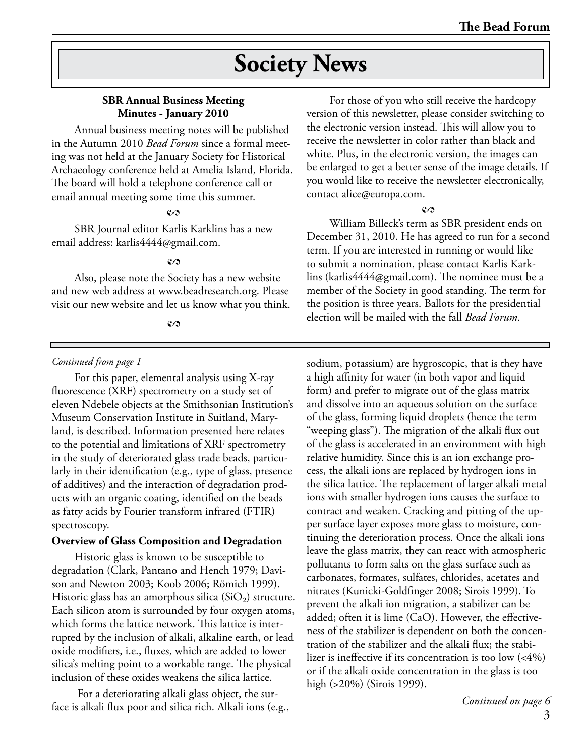# **Society News**

## **SBR Annual Business Meeting Minutes - January 2010**

Annual business meeting notes will be published in the Autumn 2010 *Bead Forum* since a formal meeting was not held at the January Society for Historical Archaeology conference held at Amelia Island, Florida. The board will hold a telephone conference call or email annual meeting some time this summer.

#### $c<sub>2</sub>$

SBR Journal editor Karlis Karklins has a new email address: karlis4444@gmail.com.

#### *2*

Also, please note the Society has a new website and new web address at www.beadresearch.org. Please visit our new website and let us know what you think.

#### *2*

#### *Continued from page 1*

For this paper, elemental analysis using X-ray fluorescence (XRF) spectrometry on a study set of eleven Ndebele objects at the Smithsonian Institution's Museum Conservation Institute in Suitland, Maryland, is described. Information presented here relates to the potential and limitations of XRF spectrometry in the study of deteriorated glass trade beads, particularly in their identification (e.g., type of glass, presence of additives) and the interaction of degradation products with an organic coating, identified on the beads as fatty acids by Fourier transform infrared (FTIR) spectroscopy.

#### **Overview of Glass Composition and Degradation**

Historic glass is known to be susceptible to degradation (Clark, Pantano and Hench 1979; Davison and Newton 2003; Koob 2006; Römich 1999). Historic glass has an amorphous silica  $(SiO<sub>2</sub>)$  structure. Each silicon atom is surrounded by four oxygen atoms, which forms the lattice network. This lattice is interrupted by the inclusion of alkali, alkaline earth, or lead oxide modifiers, i.e., fluxes, which are added to lower silica's melting point to a workable range. The physical inclusion of these oxides weakens the silica lattice.

 For a deteriorating alkali glass object, the surface is alkali flux poor and silica rich. Alkali ions (e.g.,

For those of you who still receive the hardcopy version of this newsletter, please consider switching to the electronic version instead. This will allow you to receive the newsletter in color rather than black and white. Plus, in the electronic version, the images can be enlarged to get a better sense of the image details. If you would like to receive the newsletter electronically, contact alice@europa.com.

### $\mathcal{C}$

William Billeck's term as SBR president ends on December 31, 2010. He has agreed to run for a second term. If you are interested in running or would like to submit a nomination, please contact Karlis Karklins (karlis4444@gmail.com). The nominee must be a member of the Society in good standing. The term for the position is three years. Ballots for the presidential election will be mailed with the fall *Bead Forum*.

sodium, potassium) are hygroscopic, that is they have a high affinity for water (in both vapor and liquid form) and prefer to migrate out of the glass matrix and dissolve into an aqueous solution on the surface of the glass, forming liquid droplets (hence the term "weeping glass"). The migration of the alkali flux out of the glass is accelerated in an environment with high relative humidity. Since this is an ion exchange process, the alkali ions are replaced by hydrogen ions in the silica lattice. The replacement of larger alkali metal ions with smaller hydrogen ions causes the surface to contract and weaken. Cracking and pitting of the upper surface layer exposes more glass to moisture, continuing the deterioration process. Once the alkali ions leave the glass matrix, they can react with atmospheric pollutants to form salts on the glass surface such as carbonates, formates, sulfates, chlorides, acetates and nitrates (Kunicki-Goldfinger 2008; Sirois 1999). To prevent the alkali ion migration, a stabilizer can be added; often it is lime (CaO). However, the effectiveness of the stabilizer is dependent on both the concentration of the stabilizer and the alkali flux; the stabilizer is ineffective if its concentration is too low (<4%) or if the alkali oxide concentration in the glass is too high (>20%) (Sirois 1999).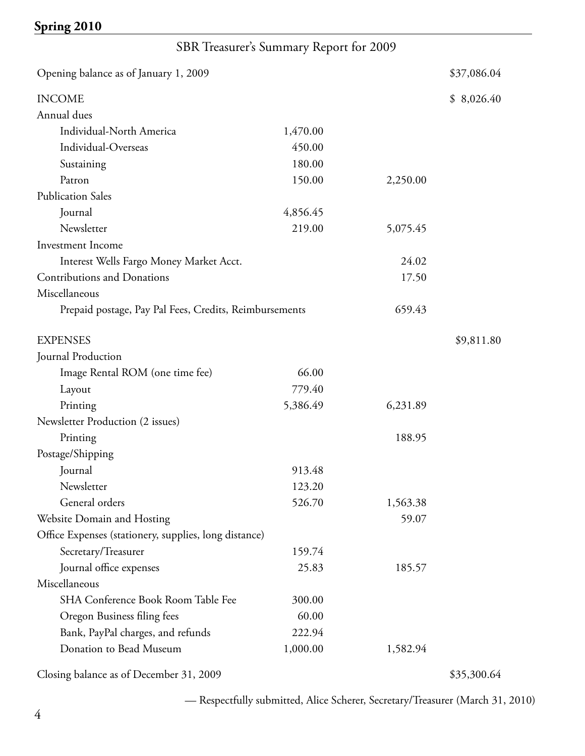# SBR Treasurer's Summary Report for 2009

| Opening balance as of January 1, 2009                  |          |          | \$37,086.04 |
|--------------------------------------------------------|----------|----------|-------------|
| <b>INCOME</b>                                          |          |          | \$8,026.40  |
| Annual dues                                            |          |          |             |
| Individual-North America                               | 1,470.00 |          |             |
| Individual-Overseas                                    | 450.00   |          |             |
| Sustaining                                             | 180.00   |          |             |
| Patron                                                 | 150.00   | 2,250.00 |             |
| <b>Publication Sales</b>                               |          |          |             |
| Journal                                                | 4,856.45 |          |             |
| Newsletter                                             | 219.00   | 5,075.45 |             |
| <b>Investment Income</b>                               |          |          |             |
| Interest Wells Fargo Money Market Acct.                |          | 24.02    |             |
| <b>Contributions and Donations</b>                     |          | 17.50    |             |
| Miscellaneous                                          |          |          |             |
| Prepaid postage, Pay Pal Fees, Credits, Reimbursements |          | 659.43   |             |
| <b>EXPENSES</b>                                        |          |          | \$9,811.80  |
| Journal Production                                     |          |          |             |
| Image Rental ROM (one time fee)                        | 66.00    |          |             |
| Layout                                                 | 779.40   |          |             |
| Printing                                               | 5,386.49 | 6,231.89 |             |
| Newsletter Production (2 issues)                       |          |          |             |
| Printing                                               |          | 188.95   |             |
| Postage/Shipping                                       |          |          |             |
| Journal                                                | 913.48   |          |             |
| Newsletter                                             | 123.20   |          |             |
| General orders                                         | 526.70   | 1,563.38 |             |
| Website Domain and Hosting                             |          | 59.07    |             |
| Office Expenses (stationery, supplies, long distance)  |          |          |             |
| Secretary/Treasurer                                    | 159.74   |          |             |
| Journal office expenses                                | 25.83    | 185.57   |             |
| Miscellaneous                                          |          |          |             |
| SHA Conference Book Room Table Fee                     | 300.00   |          |             |
| Oregon Business filing fees                            | 60.00    |          |             |
| Bank, PayPal charges, and refunds                      | 222.94   |          |             |
| Donation to Bead Museum                                | 1,000.00 | 1,582.94 |             |
|                                                        |          |          |             |

Closing balance as of December 31, 2009 \$35,300.64

— Respectfully submitted, Alice Scherer, Secretary/Treasurer (March 31, 2010)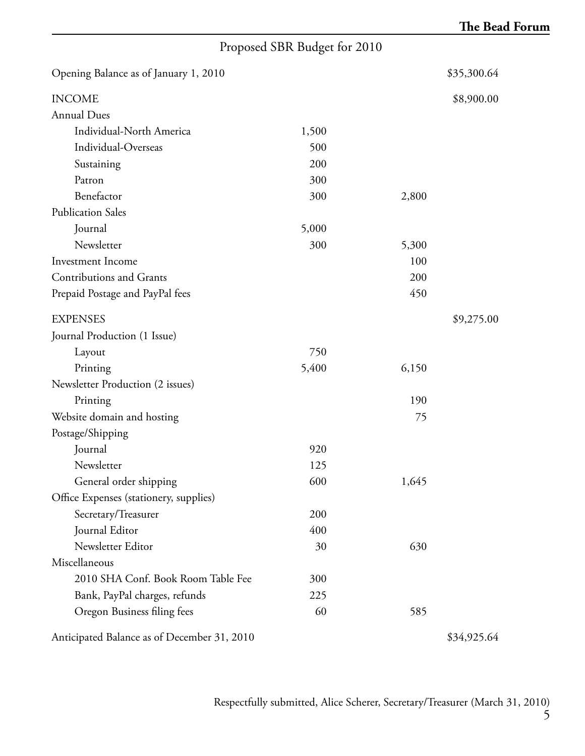# Proposed SBR Budget for 2010

| Opening Balance as of January 1, 2010       |       |       | \$35,300.64 |
|---------------------------------------------|-------|-------|-------------|
| <b>INCOME</b>                               |       |       | \$8,900.00  |
| <b>Annual Dues</b>                          |       |       |             |
| Individual-North America                    | 1,500 |       |             |
| Individual-Overseas                         | 500   |       |             |
| Sustaining                                  | 200   |       |             |
| Patron                                      | 300   |       |             |
| Benefactor                                  | 300   | 2,800 |             |
| <b>Publication Sales</b>                    |       |       |             |
| Journal                                     | 5,000 |       |             |
| Newsletter                                  | 300   | 5,300 |             |
| Investment Income                           |       | 100   |             |
| Contributions and Grants                    |       | 200   |             |
| Prepaid Postage and PayPal fees             |       | 450   |             |
| <b>EXPENSES</b>                             |       |       | \$9,275.00  |
| Journal Production (1 Issue)                |       |       |             |
| Layout                                      | 750   |       |             |
| Printing                                    | 5,400 | 6,150 |             |
| Newsletter Production (2 issues)            |       |       |             |
| Printing                                    |       | 190   |             |
| Website domain and hosting                  |       | 75    |             |
| Postage/Shipping                            |       |       |             |
| Journal                                     | 920   |       |             |
| Newsletter                                  | 125   |       |             |
| General order shipping                      | 600   | 1,645 |             |
| Office Expenses (stationery, supplies)      |       |       |             |
| Secretary/Treasurer                         | 200   |       |             |
| Journal Editor                              | 400   |       |             |
| Newsletter Editor                           | 30    | 630   |             |
| Miscellaneous                               |       |       |             |
| 2010 SHA Conf. Book Room Table Fee          | 300   |       |             |
| Bank, PayPal charges, refunds               | 225   |       |             |
| Oregon Business filing fees                 | 60    | 585   |             |
| Anticipated Balance as of December 31, 2010 |       |       | \$34,925.64 |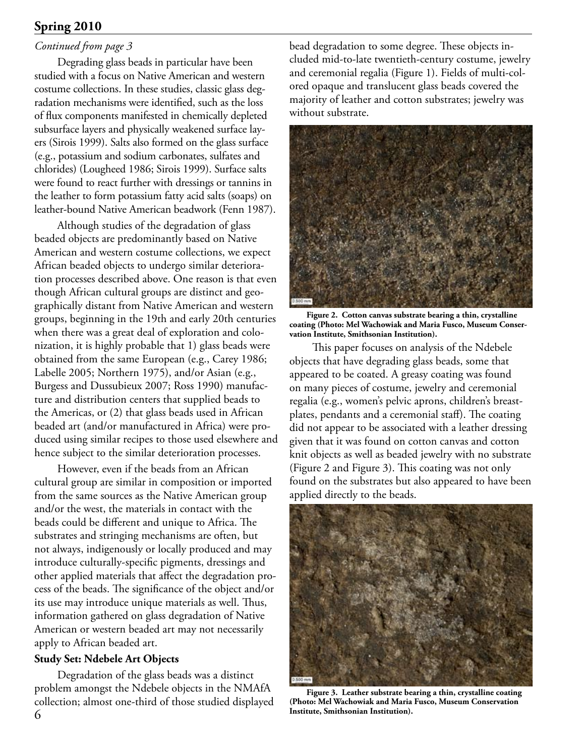# *Continued from page 3*

Degrading glass beads in particular have been studied with a focus on Native American and western costume collections. In these studies, classic glass degradation mechanisms were identified, such as the loss of flux components manifested in chemically depleted subsurface layers and physically weakened surface layers (Sirois 1999). Salts also formed on the glass surface (e.g., potassium and sodium carbonates, sulfates and chlorides) (Lougheed 1986; Sirois 1999). Surface salts were found to react further with dressings or tannins in the leather to form potassium fatty acid salts (soaps) on leather-bound Native American beadwork (Fenn 1987).

Although studies of the degradation of glass beaded objects are predominantly based on Native American and western costume collections, we expect African beaded objects to undergo similar deterioration processes described above. One reason is that even though African cultural groups are distinct and geographically distant from Native American and western groups, beginning in the 19th and early 20th centuries when there was a great deal of exploration and colonization, it is highly probable that 1) glass beads were obtained from the same European (e.g., Carey 1986; Labelle 2005; Northern 1975), and/or Asian (e.g., Burgess and Dussubieux 2007; Ross 1990) manufacture and distribution centers that supplied beads to the Americas, or (2) that glass beads used in African beaded art (and/or manufactured in Africa) were produced using similar recipes to those used elsewhere and hence subject to the similar deterioration processes.

However, even if the beads from an African cultural group are similar in composition or imported from the same sources as the Native American group and/or the west, the materials in contact with the beads could be different and unique to Africa. The substrates and stringing mechanisms are often, but not always, indigenously or locally produced and may introduce culturally-specific pigments, dressings and other applied materials that affect the degradation process of the beads. The significance of the object and/or its use may introduce unique materials as well. Thus, information gathered on glass degradation of Native American or western beaded art may not necessarily apply to African beaded art.

## **Study Set: Ndebele Art Objects**

Degradation of the glass beads was a distinct problem amongst the Ndebele objects in the NMAfA collection; almost one-third of those studied displayed

bead degradation to some degree. These objects included mid-to-late twentieth-century costume, jewelry and ceremonial regalia (Figure 1). Fields of multi-colored opaque and translucent glass beads covered the majority of leather and cotton substrates; jewelry was without substrate.



**Figure 2. Cotton canvas substrate bearing a thin, crystalline coating (Photo: Mel Wachowiak and Maria Fusco, Museum Conservation Institute, Smithsonian Institution).**

This paper focuses on analysis of the Ndebele objects that have degrading glass beads, some that appeared to be coated. A greasy coating was found on many pieces of costume, jewelry and ceremonial regalia (e.g., women's pelvic aprons, children's breastplates, pendants and a ceremonial staff). The coating did not appear to be associated with a leather dressing given that it was found on cotton canvas and cotton knit objects as well as beaded jewelry with no substrate (Figure 2 and Figure 3). This coating was not only found on the substrates but also appeared to have been applied directly to the beads.



**Figure 3. Leather substrate bearing a thin, crystalline coating (Photo: Mel Wachowiak and Maria Fusco, Museum Conservation Institute, Smithsonian Institution).**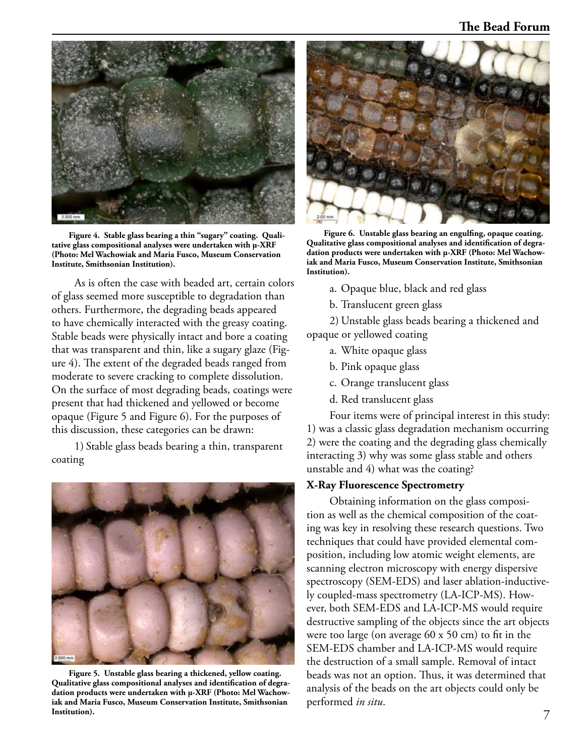

**Figure 4. Stable glass bearing a thin "sugary" coating. Qualitative glass compositional analyses were undertaken with µ-XRF (Photo: Mel Wachowiak and Maria Fusco, Museum Conservation Institute, Smithsonian Institution).**

As is often the case with beaded art, certain colors of glass seemed more susceptible to degradation than others. Furthermore, the degrading beads appeared to have chemically interacted with the greasy coating. Stable beads were physically intact and bore a coating that was transparent and thin, like a sugary glaze (Figure 4). The extent of the degraded beads ranged from moderate to severe cracking to complete dissolution. On the surface of most degrading beads, coatings were present that had thickened and yellowed or become opaque (Figure 5 and Figure 6). For the purposes of this discussion, these categories can be drawn:

1) Stable glass beads bearing a thin, transparent coating



**Figure 5. Unstable glass bearing a thickened, yellow coating. Qualitative glass compositional analyses and identification of degradation products were undertaken with µ-XRF (Photo: Mel Wachowiak and Maria Fusco, Museum Conservation Institute, Smithsonian Institution).**



**Figure 6. Unstable glass bearing an engulfing, opaque coating. Qualitative glass compositional analyses and identification of degradation products were undertaken with µ-XRF (Photo: Mel Wachowiak and Maria Fusco, Museum Conservation Institute, Smithsonian Institution).**

- a. Opaque blue, black and red glass
- b. Translucent green glass

2) Unstable glass beads bearing a thickened and opaque or yellowed coating

- a. White opaque glass
- b. Pink opaque glass
- c. Orange translucent glass
- d. Red translucent glass

Four items were of principal interest in this study: 1) was a classic glass degradation mechanism occurring 2) were the coating and the degrading glass chemically interacting 3) why was some glass stable and others unstable and 4) what was the coating?

#### **X-Ray Fluorescence Spectrometry**

Obtaining information on the glass composition as well as the chemical composition of the coating was key in resolving these research questions. Two techniques that could have provided elemental composition, including low atomic weight elements, are scanning electron microscopy with energy dispersive spectroscopy (SEM-EDS) and laser ablation-inductively coupled-mass spectrometry (LA-ICP-MS). However, both SEM-EDS and LA-ICP-MS would require destructive sampling of the objects since the art objects were too large (on average 60 x 50 cm) to fit in the SEM-EDS chamber and LA-ICP-MS would require the destruction of a small sample. Removal of intact beads was not an option. Thus, it was determined that analysis of the beads on the art objects could only be performed *in situ*.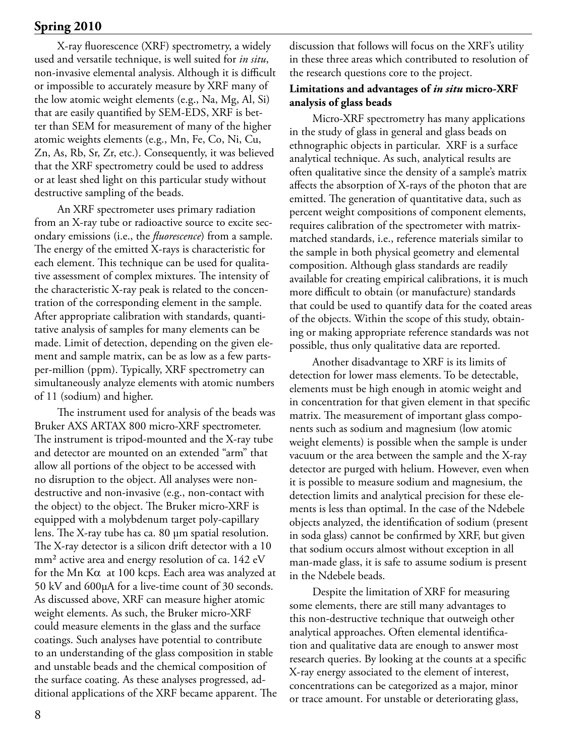X-ray fluorescence (XRF) spectrometry, a widely used and versatile technique, is well suited for *in situ*, non-invasive elemental analysis. Although it is difficult or impossible to accurately measure by XRF many of the low atomic weight elements (e.g., Na, Mg, Al, Si) that are easily quantified by SEM-EDS, XRF is better than SEM for measurement of many of the higher atomic weights elements (e.g., Mn, Fe, Co, Ni, Cu, Zn, As, Rb, Sr, Zr, etc.). Consequently, it was believed that the XRF spectrometry could be used to address or at least shed light on this particular study without destructive sampling of the beads.

An XRF spectrometer uses primary radiation from an X-ray tube or radioactive source to excite secondary emissions (i.e., the *fluorescence*) from a sample. The energy of the emitted X-rays is characteristic for each element. This technique can be used for qualitative assessment of complex mixtures. The intensity of the characteristic X-ray peak is related to the concentration of the corresponding element in the sample. After appropriate calibration with standards, quantitative analysis of samples for many elements can be made. Limit of detection, depending on the given element and sample matrix, can be as low as a few partsper-million (ppm). Typically, XRF spectrometry can simultaneously analyze elements with atomic numbers of 11 (sodium) and higher.

The instrument used for analysis of the beads was Bruker AXS ARTAX 800 micro-XRF spectrometer. The instrument is tripod-mounted and the X-ray tube and detector are mounted on an extended "arm" that allow all portions of the object to be accessed with no disruption to the object. All analyses were nondestructive and non-invasive (e.g., non-contact with the object) to the object. The Bruker micro-XRF is equipped with a molybdenum target poly-capillary lens. The X-ray tube has ca. 80 µm spatial resolution. The X-ray detector is a silicon drift detector with a 10  $mm<sup>2</sup>$  active area and energy resolution of ca. 142 eV for the Mn K $\alpha$  at 100 kcps. Each area was analyzed at 50 kV and 600µA for a live-time count of 30 seconds. As discussed above, XRF can measure higher atomic weight elements. As such, the Bruker micro-XRF could measure elements in the glass and the surface coatings. Such analyses have potential to contribute to an understanding of the glass composition in stable and unstable beads and the chemical composition of the surface coating. As these analyses progressed, additional applications of the XRF became apparent. The discussion that follows will focus on the XRF's utility in these three areas which contributed to resolution of the research questions core to the project.

## **Limitations and advantages of** *in situ* **micro-XRF analysis of glass beads**

Micro-XRF spectrometry has many applications in the study of glass in general and glass beads on ethnographic objects in particular. XRF is a surface analytical technique. As such, analytical results are often qualitative since the density of a sample's matrix affects the absorption of X-rays of the photon that are emitted. The generation of quantitative data, such as percent weight compositions of component elements, requires calibration of the spectrometer with matrixmatched standards, i.e., reference materials similar to the sample in both physical geometry and elemental composition. Although glass standards are readily available for creating empirical calibrations, it is much more difficult to obtain (or manufacture) standards that could be used to quantify data for the coated areas of the objects. Within the scope of this study, obtaining or making appropriate reference standards was not possible, thus only qualitative data are reported.

Another disadvantage to XRF is its limits of detection for lower mass elements. To be detectable, elements must be high enough in atomic weight and in concentration for that given element in that specific matrix. The measurement of important glass components such as sodium and magnesium (low atomic weight elements) is possible when the sample is under vacuum or the area between the sample and the X-ray detector are purged with helium. However, even when it is possible to measure sodium and magnesium, the detection limits and analytical precision for these elements is less than optimal. In the case of the Ndebele objects analyzed, the identification of sodium (present in soda glass) cannot be confirmed by XRF, but given that sodium occurs almost without exception in all man-made glass, it is safe to assume sodium is present in the Ndebele beads.

Despite the limitation of XRF for measuring some elements, there are still many advantages to this non-destructive technique that outweigh other analytical approaches. Often elemental identification and qualitative data are enough to answer most research queries. By looking at the counts at a specific X-ray energy associated to the element of interest, concentrations can be categorized as a major, minor or trace amount. For unstable or deteriorating glass,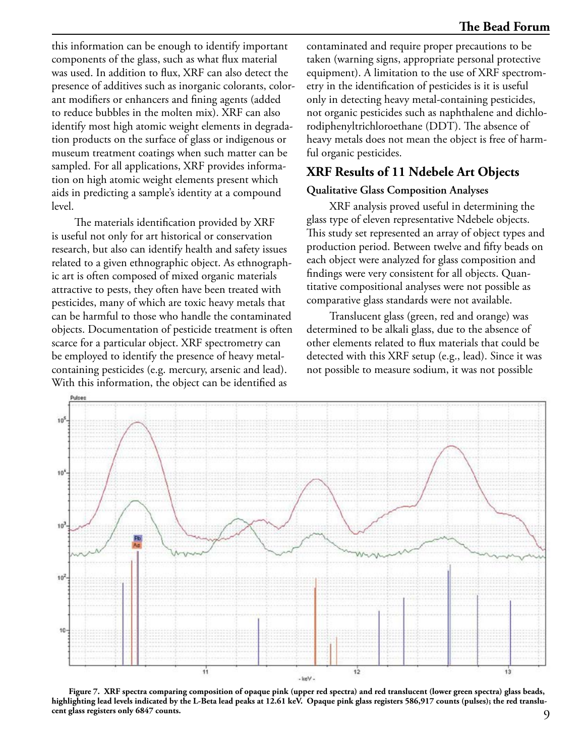this information can be enough to identify important components of the glass, such as what flux material was used. In addition to flux, XRF can also detect the presence of additives such as inorganic colorants, colorant modifiers or enhancers and fining agents (added to reduce bubbles in the molten mix). XRF can also identify most high atomic weight elements in degradation products on the surface of glass or indigenous or museum treatment coatings when such matter can be sampled. For all applications, XRF provides information on high atomic weight elements present which aids in predicting a sample's identity at a compound level.

The materials identification provided by XRF is useful not only for art historical or conservation research, but also can identify health and safety issues related to a given ethnographic object. As ethnographic art is often composed of mixed organic materials attractive to pests, they often have been treated with pesticides, many of which are toxic heavy metals that can be harmful to those who handle the contaminated objects. Documentation of pesticide treatment is often scarce for a particular object. XRF spectrometry can be employed to identify the presence of heavy metalcontaining pesticides (e.g. mercury, arsenic and lead). With this information, the object can be identified as

contaminated and require proper precautions to be taken (warning signs, appropriate personal protective equipment). A limitation to the use of XRF spectrometry in the identification of pesticides is it is useful only in detecting heavy metal-containing pesticides, not organic pesticides such as naphthalene and dichlorodiphenyltrichloroethane (DDT). The absence of heavy metals does not mean the object is free of harmful organic pesticides.

# **XRF Results of 11 Ndebele Art Objects**

#### **Qualitative Glass Composition Analyses**

XRF analysis proved useful in determining the glass type of eleven representative Ndebele objects. This study set represented an array of object types and production period. Between twelve and fifty beads on each object were analyzed for glass composition and findings were very consistent for all objects. Quantitative compositional analyses were not possible as comparative glass standards were not available.

Translucent glass (green, red and orange) was determined to be alkali glass, due to the absence of other elements related to flux materials that could be detected with this XRF setup (e.g., lead). Since it was not possible to measure sodium, it was not possible



**Figure 7. XRF spectra comparing composition of opaque pink (upper red spectra) and red translucent (lower green spectra) glass beads, highlighting lead levels indicated by the L-Beta lead peaks at 12.61 keV. Opaque pink glass registers 586,917 counts (pulses); the red translucent glass registers only 6847 counts.**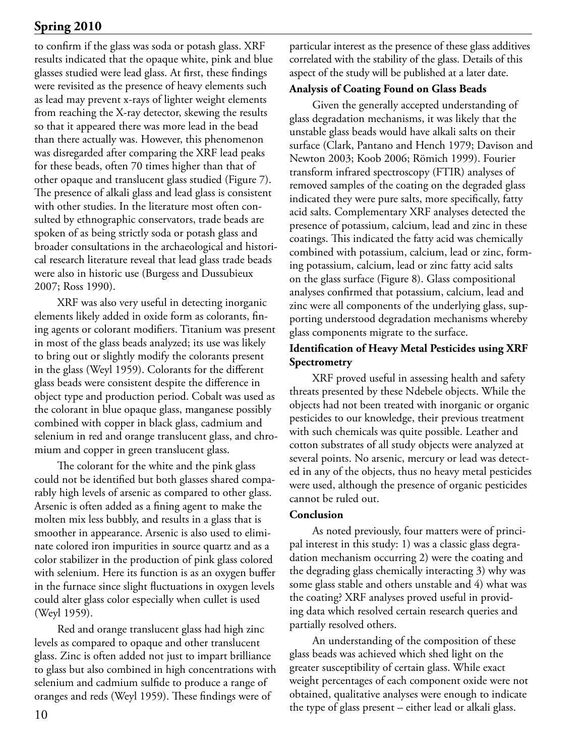to confirm if the glass was soda or potash glass. XRF results indicated that the opaque white, pink and blue glasses studied were lead glass. At first, these findings were revisited as the presence of heavy elements such as lead may prevent x-rays of lighter weight elements from reaching the X-ray detector, skewing the results so that it appeared there was more lead in the bead than there actually was. However, this phenomenon was disregarded after comparing the XRF lead peaks for these beads, often 70 times higher than that of other opaque and translucent glass studied (Figure 7). The presence of alkali glass and lead glass is consistent with other studies. In the literature most often consulted by ethnographic conservators, trade beads are spoken of as being strictly soda or potash glass and broader consultations in the archaeological and historical research literature reveal that lead glass trade beads were also in historic use (Burgess and Dussubieux 2007; Ross 1990).

XRF was also very useful in detecting inorganic elements likely added in oxide form as colorants, fining agents or colorant modifiers. Titanium was present in most of the glass beads analyzed; its use was likely to bring out or slightly modify the colorants present in the glass (Weyl 1959). Colorants for the different glass beads were consistent despite the difference in object type and production period. Cobalt was used as the colorant in blue opaque glass, manganese possibly combined with copper in black glass, cadmium and selenium in red and orange translucent glass, and chromium and copper in green translucent glass.

The colorant for the white and the pink glass could not be identified but both glasses shared comparably high levels of arsenic as compared to other glass. Arsenic is often added as a fining agent to make the molten mix less bubbly, and results in a glass that is smoother in appearance. Arsenic is also used to eliminate colored iron impurities in source quartz and as a color stabilizer in the production of pink glass colored with selenium. Here its function is as an oxygen buffer in the furnace since slight fluctuations in oxygen levels could alter glass color especially when cullet is used (Weyl 1959).

Red and orange translucent glass had high zinc levels as compared to opaque and other translucent glass. Zinc is often added not just to impart brilliance to glass but also combined in high concentrations with selenium and cadmium sulfide to produce a range of oranges and reds (Weyl 1959). These findings were of

particular interest as the presence of these glass additives correlated with the stability of the glass. Details of this aspect of the study will be published at a later date.

## **Analysis of Coating Found on Glass Beads**

Given the generally accepted understanding of glass degradation mechanisms, it was likely that the unstable glass beads would have alkali salts on their surface (Clark, Pantano and Hench 1979; Davison and Newton 2003; Koob 2006; Römich 1999). Fourier transform infrared spectroscopy (FTIR) analyses of removed samples of the coating on the degraded glass indicated they were pure salts, more specifically, fatty acid salts. Complementary XRF analyses detected the presence of potassium, calcium, lead and zinc in these coatings. This indicated the fatty acid was chemically combined with potassium, calcium, lead or zinc, forming potassium, calcium, lead or zinc fatty acid salts on the glass surface (Figure 8). Glass compositional analyses confirmed that potassium, calcium, lead and zinc were all components of the underlying glass, supporting understood degradation mechanisms whereby glass components migrate to the surface.

# **Identification of Heavy Metal Pesticides using XRF Spectrometry**

XRF proved useful in assessing health and safety threats presented by these Ndebele objects. While the objects had not been treated with inorganic or organic pesticides to our knowledge, their previous treatment with such chemicals was quite possible. Leather and cotton substrates of all study objects were analyzed at several points. No arsenic, mercury or lead was detected in any of the objects, thus no heavy metal pesticides were used, although the presence of organic pesticides cannot be ruled out.

## **Conclusion**

As noted previously, four matters were of principal interest in this study: 1) was a classic glass degradation mechanism occurring 2) were the coating and the degrading glass chemically interacting 3) why was some glass stable and others unstable and 4) what was the coating? XRF analyses proved useful in providing data which resolved certain research queries and partially resolved others.

An understanding of the composition of these glass beads was achieved which shed light on the greater susceptibility of certain glass. While exact weight percentages of each component oxide were not obtained, qualitative analyses were enough to indicate the type of glass present – either lead or alkali glass.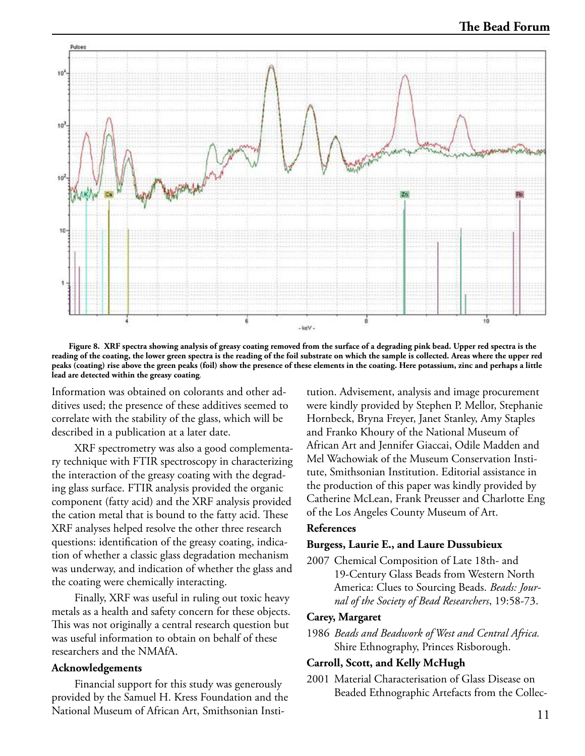

**Figure 8. XRF spectra showing analysis of greasy coating removed from the surface of a degrading pink bead. Upper red spectra is the reading of the coating, the lower green spectra is the reading of the foil substrate on which the sample is collected. Areas where the upper red peaks (coating) rise above the green peaks (foil) show the presence of these elements in the coating. Here potassium, zinc and perhaps a little lead are detected within the greasy coating***.*

Information was obtained on colorants and other additives used; the presence of these additives seemed to correlate with the stability of the glass, which will be described in a publication at a later date.

XRF spectrometry was also a good complementary technique with FTIR spectroscopy in characterizing the interaction of the greasy coating with the degrading glass surface. FTIR analysis provided the organic component (fatty acid) and the XRF analysis provided the cation metal that is bound to the fatty acid. These XRF analyses helped resolve the other three research questions: identification of the greasy coating, indication of whether a classic glass degradation mechanism was underway, and indication of whether the glass and the coating were chemically interacting.

Finally, XRF was useful in ruling out toxic heavy metals as a health and safety concern for these objects. This was not originally a central research question but was useful information to obtain on behalf of these researchers and the NMAfA.

#### **Acknowledgements**

Financial support for this study was generously provided by the Samuel H. Kress Foundation and the National Museum of African Art, Smithsonian Insti-

tution. Advisement, analysis and image procurement were kindly provided by Stephen P. Mellor, Stephanie Hornbeck, Bryna Freyer, Janet Stanley, Amy Staples and Franko Khoury of the National Museum of African Art and Jennifer Giaccai, Odile Madden and Mel Wachowiak of the Museum Conservation Institute, Smithsonian Institution. Editorial assistance in the production of this paper was kindly provided by Catherine McLean, Frank Preusser and Charlotte Eng of the Los Angeles County Museum of Art.

#### **References**

#### **Burgess, Laurie E., and Laure Dussubieux**

2007 Chemical Composition of Late 18th- and 19-Century Glass Beads from Western North America: Clues to Sourcing Beads. *Beads: Journal of the Society of Bead Researchers*, 19:58-73.

#### **Carey, Margaret**

1986 *Beads and Beadwork of West and Central Africa.* Shire Ethnography, Princes Risborough.

#### **Carroll, Scott, and Kelly McHugh**

2001 Material Characterisation of Glass Disease on Beaded Ethnographic Artefacts from the Collec-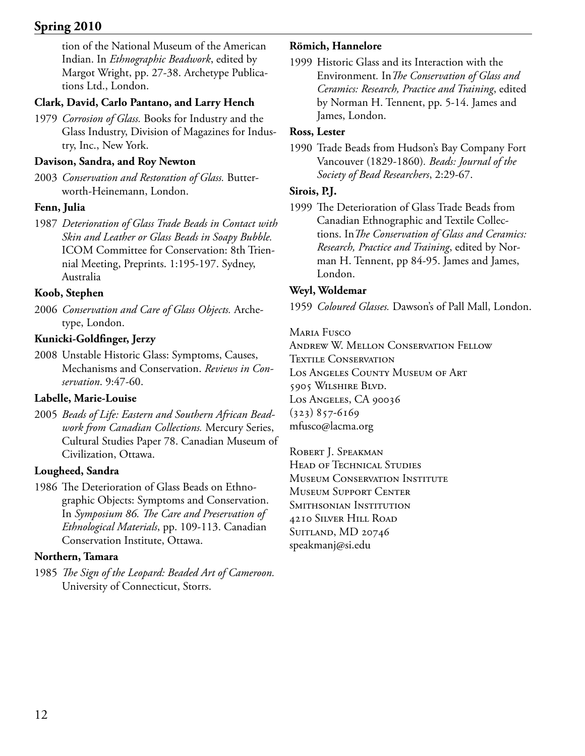tion of the National Museum of the American Indian. In *Ethnographic Beadwork*, edited by Margot Wright, pp. 27-38. Archetype Publications Ltd., London.

# **Clark, David, Carlo Pantano, and Larry Hench**

1979 *Corrosion of Glass.* Books for Industry and the Glass Industry, Division of Magazines for Industry, Inc., New York.

# **Davison, Sandra, and Roy Newton**

2003 *Conservation and Restoration of Glass.* Butterworth-Heinemann, London.

# **Fenn, Julia**

1987 *Deterioration of Glass Trade Beads in Contact with Skin and Leather or Glass Beads in Soapy Bubble.* ICOM Committee for Conservation: 8th Triennial Meeting, Preprints. 1:195-197. Sydney, Australia

# **Koob, Stephen**

2006 *Conservation and Care of Glass Objects.* Archetype, London.

# **Kunicki-Goldfinger, Jerzy**

2008 Unstable Historic Glass: Symptoms, Causes, Mechanisms and Conservation. *Reviews in Conservation*. 9:47-60.

# **Labelle, Marie-Louise**

2005 *Beads of Life: Eastern and Southern African Beadwork from Canadian Collections.* Mercury Series, Cultural Studies Paper 78. Canadian Museum of Civilization, Ottawa.

# **Lougheed, Sandra**

1986 The Deterioration of Glass Beads on Ethnographic Objects: Symptoms and Conservation. In *Symposium 86. The Care and Preservation of Ethnological Materials*, pp. 109-113. Canadian Conservation Institute, Ottawa.

# **Northern, Tamara**

1985 *The Sign of the Leopard: Beaded Art of Cameroon.* University of Connecticut, Storrs.

# **Römich, Hannelore**

1999 Historic Glass and its Interaction with the Environment*.* In*The Conservation of Glass and Ceramics: Research, Practice and Training*, edited by Norman H. Tennent, pp. 5-14. James and James, London.

# **Ross, Lester**

1990 Trade Beads from Hudson's Bay Company Fort Vancouver (1829-1860)*. Beads: Journal of the Society of Bead Researchers*, 2:29-67.

# **Sirois, P.J.**

1999 The Deterioration of Glass Trade Beads from Canadian Ethnographic and Textile Collections. In*The Conservation of Glass and Ceramics: Research, Practice and Training*, edited by Norman H. Tennent, pp 84-95. James and James, London.

# **Weyl, Woldemar**

1959 *Coloured Glasses.* Dawson's of Pall Mall, London.

Maria Fusco

Andrew W. Mellon Conservation Fellow TEXTILE CONSERVATION Los Angeles County Museum of Art 5905 Wilshire Blvd. Los Angeles, CA 90036 (323) 857-6169 mfusco@lacma.org

ROBERT J. SPEAKMAN HEAD OF TECHNICAL STUDIES Museum Conservation Institute Museum Support Center Smithsonian Institution 4210 Silver Hill Road SUITLAND, MD 20746 speakmanj@si.edu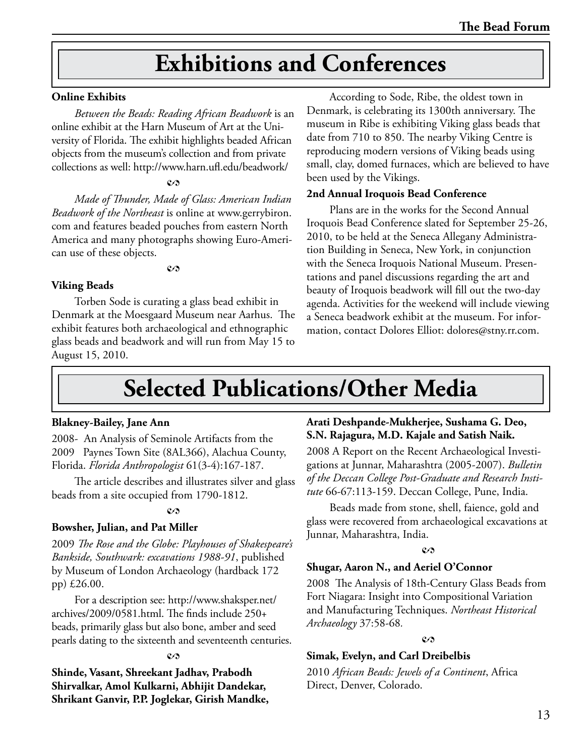# **Exhibitions and Conferences**

#### **Online Exhibits**

*Between the Beads: Reading African Beadwork* is an online exhibit at the Harn Museum of Art at the University of Florida. The exhibit highlights beaded African objects from the museum's collection and from private collections as well: http://www.harn.ufl.edu/beadwork/

#### $c_{2}$

*Made of Thunder, Made of Glass: American Indian Beadwork of the Northeast* is online at www.gerrybiron. com and features beaded pouches from eastern North America and many photographs showing Euro-American use of these objects.

#### $c<sub>2</sub>$

#### **Viking Beads**

Torben Sode is curating a glass bead exhibit in Denmark at the Moesgaard Museum near Aarhus. The exhibit features both archaeological and ethnographic glass beads and beadwork and will run from May 15 to August 15, 2010.

According to Sode, Ribe, the oldest town in Denmark, is celebrating its 1300th anniversary. The museum in Ribe is exhibiting Viking glass beads that date from 710 to 850. The nearby Viking Centre is reproducing modern versions of Viking beads using small, clay, domed furnaces, which are believed to have been used by the Vikings.

### **2nd Annual Iroquois Bead Conference**

Plans are in the works for the Second Annual Iroquois Bead Conference slated for September 25-26, 2010, to be held at the Seneca Allegany Administration Building in Seneca, New York, in conjunction with the Seneca Iroquois National Museum. Presentations and panel discussions regarding the art and beauty of Iroquois beadwork will fill out the two-day agenda. Activities for the weekend will include viewing a Seneca beadwork exhibit at the museum. For information, contact Dolores Elliot: dolores@stny.rr.com.

# **Selected Publications/Other Media**

#### **Blakney-Bailey, Jane Ann**

2008- An Analysis of Seminole Artifacts from the 2009Paynes Town Site (8AL366), Alachua County, Florida. *Florida Anthropologist* 61(3-4):167-187.

The article describes and illustrates silver and glass beads from a site occupied from 1790-1812.

#### $c \wedge$

# **Bowsher, Julian, and Pat Miller**

2009 *The Rose and the Globe: Playhouses of Shakespeare's Bankside, Southwark: excavations 1988-91*, published by Museum of London Archaeology (hardback 172 pp) £26.00.

For a description see: http://www.shaksper.net/ archives/2009/0581.html. The finds include 250+ beads, primarily glass but also bone, amber and seed pearls dating to the sixteenth and seventeenth centuries.

#### $c<sub>2</sub>$

**Shinde, Vasant, Shreekant Jadhav, Prabodh Shirvalkar, Amol Kulkarni, Abhijit Dandekar, Shrikant Ganvir, P.P. Joglekar, Girish Mandke,** 

# **Arati Deshpande-Mukherjee, Sushama G. Deo, S.N. Rajagura, M.D. Kajale and Satish Naik.**

2008 A Report on the Recent Archaeological Investigations at Junnar, Maharashtra (2005-2007). *Bulletin of the Deccan College Post-Graduate and Research Institute* 66-67:113-159. Deccan College, Pune, India.

Beads made from stone, shell, faience, gold and glass were recovered from archaeological excavations at Junnar, Maharashtra, India.

#### $c_{\Omega}$

## **Shugar, Aaron N., and Aeriel O'Connor**

2008 The Analysis of 18th-Century Glass Beads from Fort Niagara: Insight into Compositional Variation and Manufacturing Techniques. *Northeast Historical Archaeology* 37:58-68*.*

#### $\mathcal{C}$

## **Simak, Evelyn, and Carl Dreibelbis**

2010 *African Beads: Jewels of a Continent*, Africa Direct, Denver, Colorado.